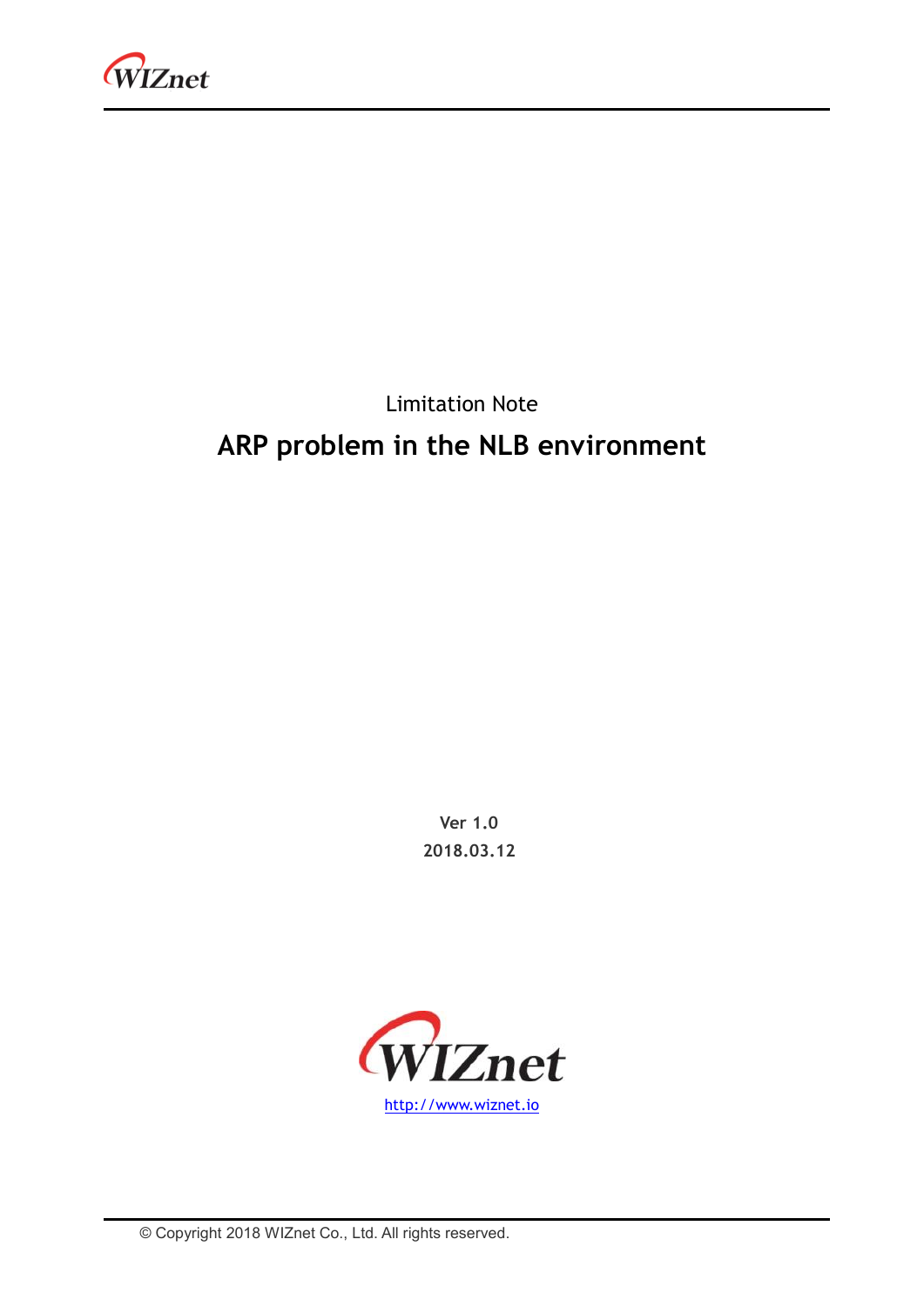

### Limitation Note **ARP problem in the NLB environment**

**Ver 1.0 2018.03.12**

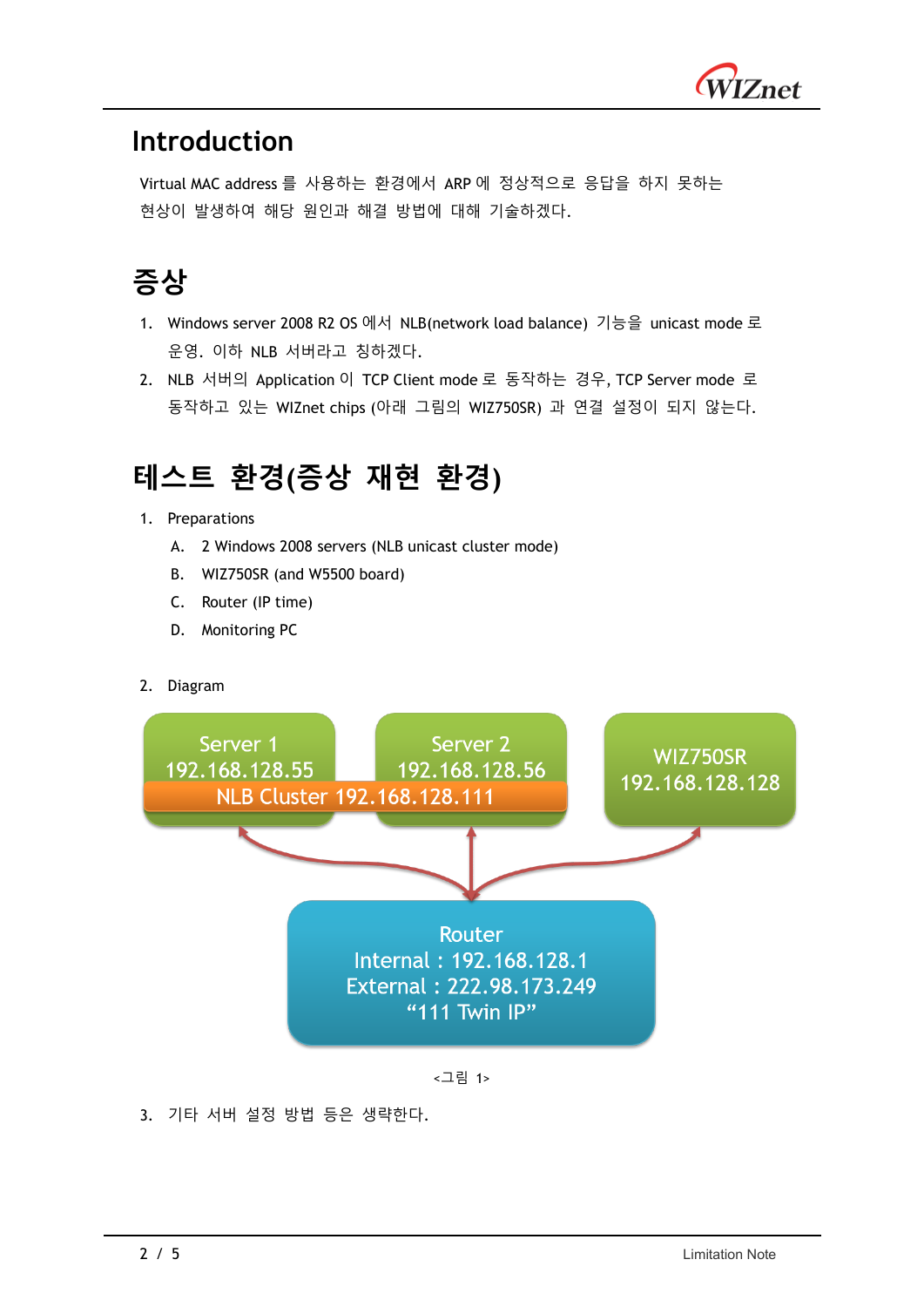

#### **Introduction**

Virtual MAC address 를 사용하는 환경에서 ARP 에 정상적으로 응답을 하지 못하는 현상이 발생하여 해당 원인과 해결 방법에 대해 기술하겠다.

# **증상**

- 1. Windows server 2008 R2 OS 에서 NLB(network load balance) 기능을 unicast mode 로 운영. 이하 NLB 서버라고 칭하겠다.
- 2. NLB 서버의 Application 이 TCP Client mode 로 동작하는 경우, TCP Server mode 로 동작하고 있는 WIZnet chips (아래 그림의 WIZ750SR) 과 연결 설정이 되지 않는다.

#### **테스트 환경(증상 재현 환경)**

- 1. Preparations
	- A. 2 Windows 2008 servers (NLB unicast cluster mode)
	- B. WIZ750SR (and W5500 board)
	- C. Router (IP time)
	- D. Monitoring PC
- 2. Diagram





#### 3. 기타 서버 설정 방법 등은 생략한다.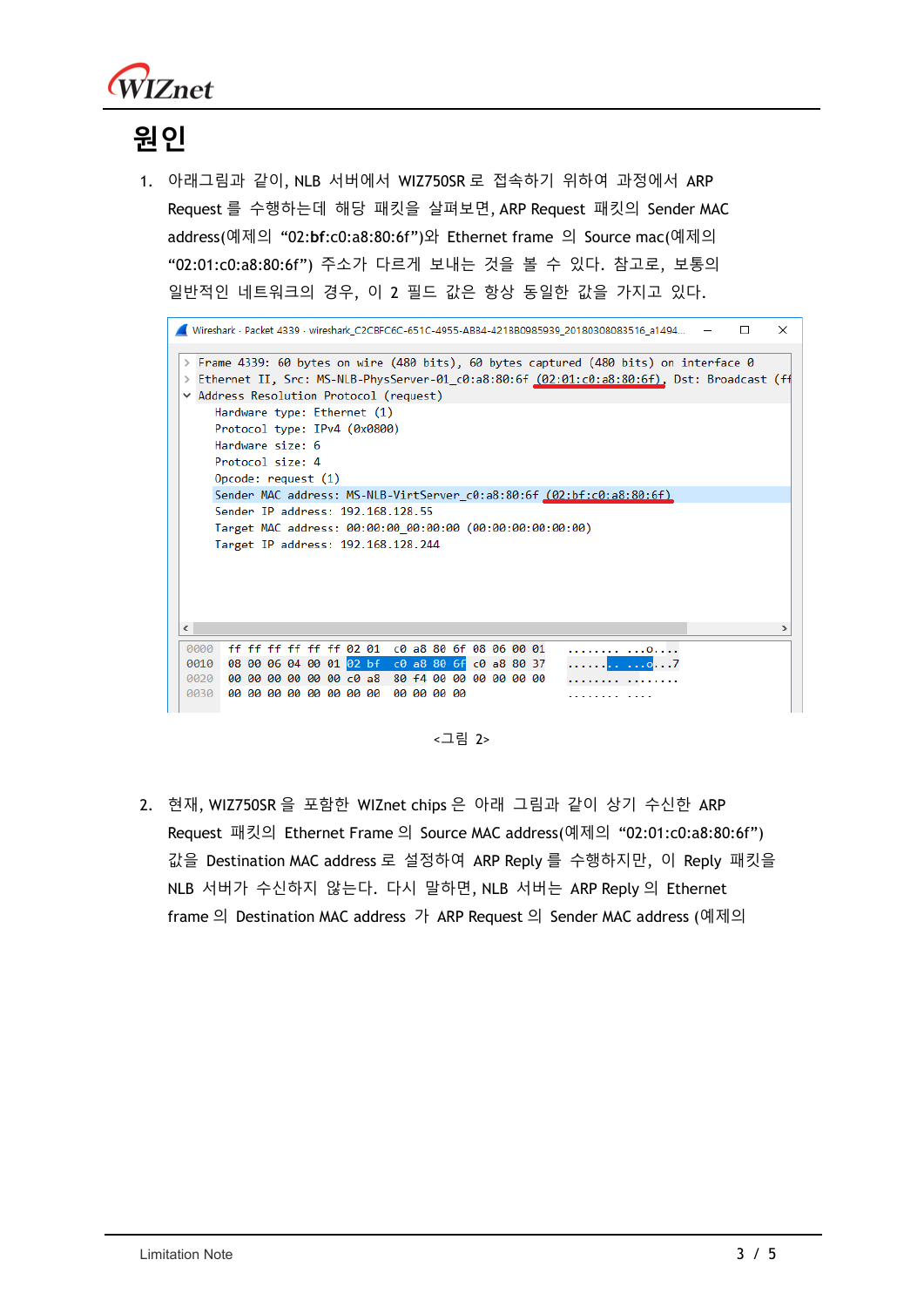

# **원인**

1. 아래그림과 같이, NLB 서버에서 WIZ750SR 로 접속하기 위하여 과정에서 ARP Request 를 수행하는데 해당 패킷을 살펴보면, ARP Request 패킷의 Sender MAC address(예제의 "02:**bf**:c0:a8:80:6f")와 Ethernet frame 의 Source mac(예제의 "02:01:c0:a8:80:6f") 주소가 다르게 보내는 것을 볼 수 있다. 참고로, 보통의 일반적인 네트워크의 경우, 이 2 필드 값은 항상 동일한 값을 가지고 있다.



<그림 2>

2. 현재, WIZ750SR 을 포함한 WIZnet chips 은 아래 그림과 같이 상기 수신한 ARP Request 패킷의 Ethernet Frame 의 Source MAC address(예제의 "02:01:c0:a8:80:6f") 값을 Destination MAC address 로 설정하여 ARP Reply 를 수행하지만, 이 Reply 패킷을 NLB 서버가 수신하지 않는다. 다시 말하면, NLB 서버는 ARP Reply 의 Ethernet frame 의 Destination MAC address 가 ARP Request 의 Sender MAC address (예제의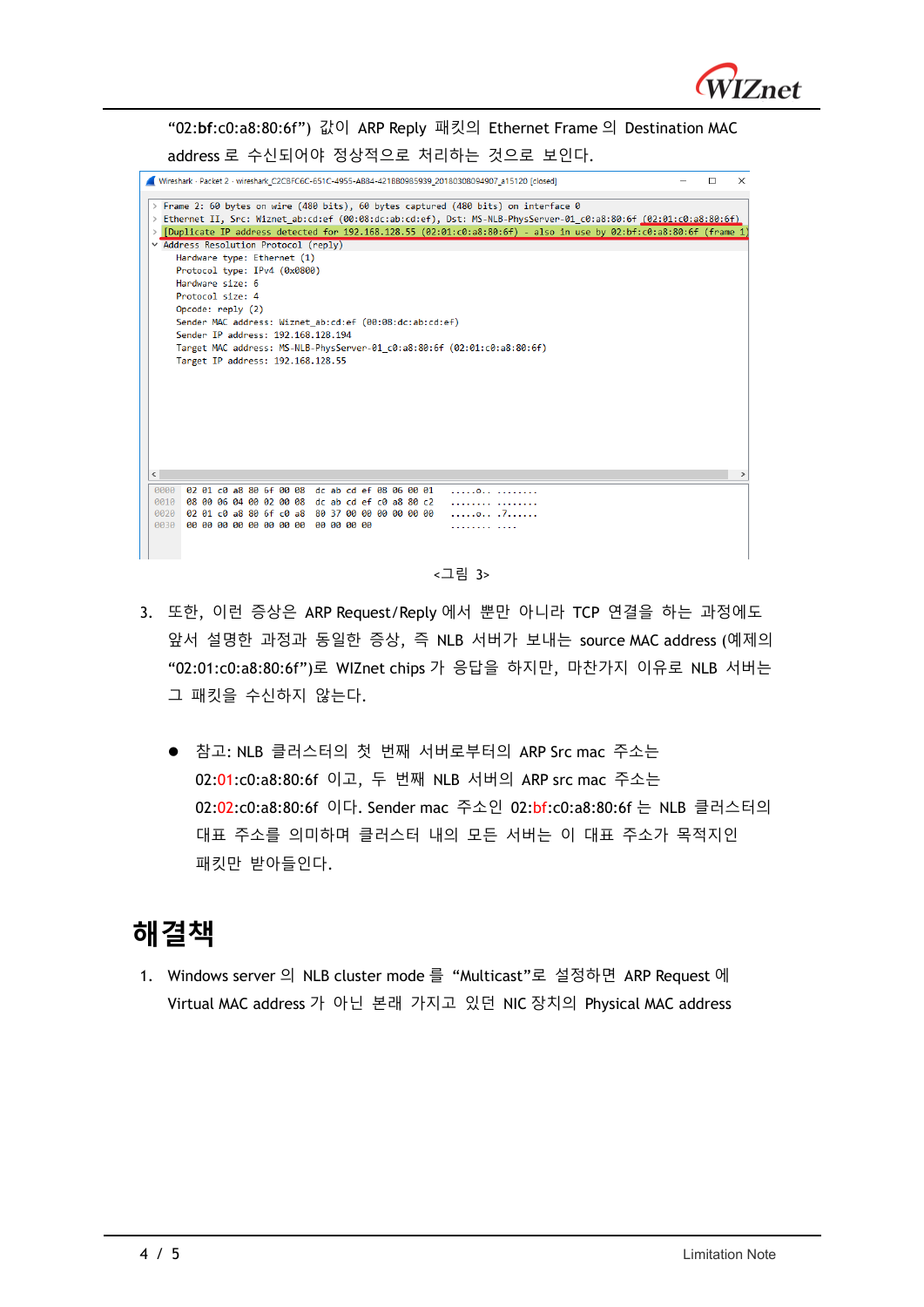

"02:**bf**:c0:a8:80:6f") 값이 ARP Reply 패킷의 Ethernet Frame 의 Destination MAC address 로 수신되어야 정상적으로 처리하는 것으로 보인다.

|            |                                                         |  |                                                 |  |  |  | Wireshark - Packet 2 - wireshark C2CBFC6C-651C-4955-ABB4-421BB0985939 20180308094907 a15120 [closed]               |  |  |  |  | п | × |
|------------|---------------------------------------------------------|--|-------------------------------------------------|--|--|--|--------------------------------------------------------------------------------------------------------------------|--|--|--|--|---|---|
|            |                                                         |  |                                                 |  |  |  |                                                                                                                    |  |  |  |  |   |   |
|            |                                                         |  |                                                 |  |  |  | > Frame 2: 60 bytes on wire (480 bits), 60 bytes captured (480 bits) on interface 0                                |  |  |  |  |   |   |
|            |                                                         |  |                                                 |  |  |  | > Ethernet II, Src: Wiznet ab:cd:ef (00:08:dc:ab:cd:ef), Dst: MS-NLB-PhysServer-01 c0:a8:80:6f (02:01:c0:a8:80:6f) |  |  |  |  |   |   |
|            |                                                         |  |                                                 |  |  |  | [Duplicate IP address detected for 192.168.128.55 (02:01:c0:a8:80:6f) - also in use by 02:bf:c0:a8:80:6f (frame 1  |  |  |  |  |   |   |
|            | v Address Resolution Protocol (reply)                   |  |                                                 |  |  |  |                                                                                                                    |  |  |  |  |   |   |
|            | Hardware type: Ethernet (1)                             |  |                                                 |  |  |  |                                                                                                                    |  |  |  |  |   |   |
|            | Protocol type: IPv4 (0x0800)                            |  |                                                 |  |  |  |                                                                                                                    |  |  |  |  |   |   |
|            | Hardware size: 6                                        |  |                                                 |  |  |  |                                                                                                                    |  |  |  |  |   |   |
|            | Protocol size: 4                                        |  |                                                 |  |  |  |                                                                                                                    |  |  |  |  |   |   |
|            | Opcode: reply (2)                                       |  |                                                 |  |  |  |                                                                                                                    |  |  |  |  |   |   |
|            | Sender MAC address: Wiznet ab:cd:ef (00:08:dc:ab:cd:ef) |  |                                                 |  |  |  |                                                                                                                    |  |  |  |  |   |   |
|            | Sender IP address: 192.168.128.194                      |  |                                                 |  |  |  |                                                                                                                    |  |  |  |  |   |   |
|            |                                                         |  |                                                 |  |  |  | Target MAC address: MS-NLB-PhysServer-01 c0:a8:80:6f (02:01:c0:a8:80:6f)                                           |  |  |  |  |   |   |
|            | Target IP address: 192.168.128.55                       |  |                                                 |  |  |  |                                                                                                                    |  |  |  |  |   |   |
|            |                                                         |  |                                                 |  |  |  |                                                                                                                    |  |  |  |  |   |   |
|            |                                                         |  |                                                 |  |  |  |                                                                                                                    |  |  |  |  |   |   |
|            |                                                         |  |                                                 |  |  |  |                                                                                                                    |  |  |  |  |   |   |
|            |                                                         |  |                                                 |  |  |  |                                                                                                                    |  |  |  |  |   |   |
|            |                                                         |  |                                                 |  |  |  |                                                                                                                    |  |  |  |  |   |   |
|            |                                                         |  |                                                 |  |  |  |                                                                                                                    |  |  |  |  |   |   |
|            |                                                         |  |                                                 |  |  |  |                                                                                                                    |  |  |  |  |   |   |
|            |                                                         |  |                                                 |  |  |  |                                                                                                                    |  |  |  |  |   |   |
| $\epsilon$ |                                                         |  |                                                 |  |  |  |                                                                                                                    |  |  |  |  |   |   |
| 0000       | 02 01 c0 a8 80 6f 00 08 dc ab cd ef 08 06 00 01         |  |                                                 |  |  |  | $1.1.1.011$ $1.1.1.11$                                                                                             |  |  |  |  |   |   |
| 0010       | 08 00 06 04 00 02 00 08 dc ab cd ef c0 a8 80 c2         |  |                                                 |  |  |  | .                                                                                                                  |  |  |  |  |   |   |
| 0020       |                                                         |  | 02 01 c0 a8 80 6f c0 a8 80 37 00 00 00 00 00 00 |  |  |  | 07                                                                                                                 |  |  |  |  |   |   |
| 0030       |                                                         |  | 00 00 00 00 00 00 00 00 00 00 00 00             |  |  |  | .                                                                                                                  |  |  |  |  |   |   |
|            |                                                         |  |                                                 |  |  |  |                                                                                                                    |  |  |  |  |   |   |
|            |                                                         |  |                                                 |  |  |  |                                                                                                                    |  |  |  |  |   |   |
|            |                                                         |  |                                                 |  |  |  |                                                                                                                    |  |  |  |  |   |   |

<그림 3>

- 3. 또한, 이런 증상은 ARP Request/Reply 에서 뿐만 아니라 TCP 연결을 하는 과정에도 앞서 설명한 과정과 동일한 증상, 즉 NLB 서버가 보내는 source MAC address (예제의 "02:01:c0:a8:80:6f")로 WIZnet chips 가 응답을 하지만, 마찬가지 이유로 NLB 서버는 그 패킷을 수신하지 않는다.
	- 참고: NLB 클러스터의 첫 번째 서버로부터의 ARP Src mac 주소는 02:01:c0:a8:80:6f 이고, 두 번째 NLB 서버의 ARP src mac 주소는 02:02:c0:a8:80:6f 이다. Sender mac 주소인 02:bf:c0:a8:80:6f 는 NLB 클러스터의 대표 주소를 의미하며 클러스터 내의 모든 서버는 이 대표 주소가 목적지인 패킷만 받아들인다.

#### **해결책**

1. Windows server 의 NLB cluster mode 를 "Multicast"로 설정하면 ARP Request 에 Virtual MAC address 가 아닌 본래 가지고 있던 NIC 장치의 Physical MAC address